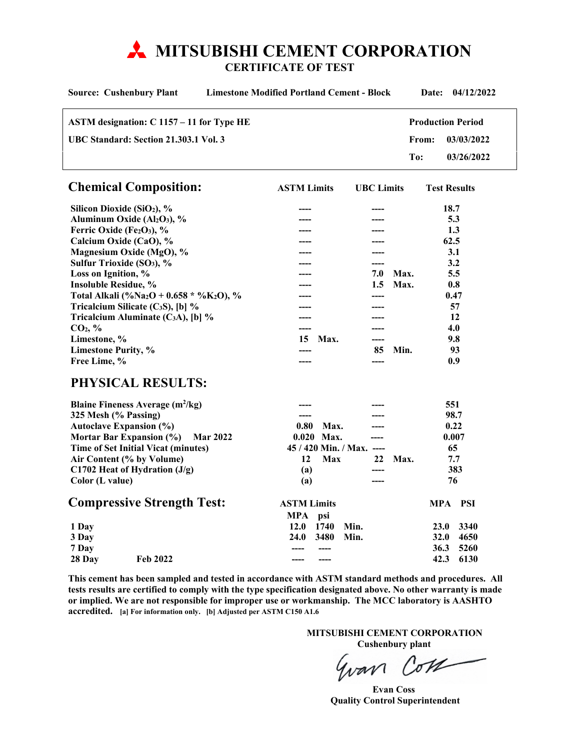# **MITSUBISHI CEMENT CORPORATION**

**CERTIFICATE OF TEST** 

| <b>Limestone Modified Portland Cement - Block</b><br><b>Source: Cushenbury Plant</b> |                 |                           |                   |      | 04/12/2022<br>Date:      |            |  |
|--------------------------------------------------------------------------------------|-----------------|---------------------------|-------------------|------|--------------------------|------------|--|
| ASTM designation: C 1157 - 11 for Type HE                                            |                 |                           |                   |      | <b>Production Period</b> |            |  |
| UBC Standard: Section 21.303.1 Vol. 3                                                |                 |                           | From:             |      | 03/03/2022               |            |  |
|                                                                                      |                 |                           |                   | To:  |                          | 03/26/2022 |  |
| <b>Chemical Composition:</b>                                                         |                 | <b>ASTM Limits</b>        | <b>UBC</b> Limits |      | <b>Test Results</b>      |            |  |
| Silicon Dioxide (SiO <sub>2</sub> ), %                                               |                 |                           |                   |      | 18.7                     |            |  |
| Aluminum Oxide (Al <sub>2</sub> O <sub>3</sub> ), %                                  |                 |                           |                   |      | 5.3                      |            |  |
| Ferric Oxide (Fe2O3), %                                                              |                 |                           |                   |      | 1.3                      |            |  |
| Calcium Oxide (CaO), %                                                               |                 |                           |                   |      | 62.5                     |            |  |
| Magnesium Oxide (MgO), %                                                             |                 |                           |                   |      | 3.1                      |            |  |
| Sulfur Trioxide (SO <sub>3</sub> ), %                                                |                 |                           |                   |      | 3.2                      |            |  |
| Loss on Ignition, %                                                                  |                 |                           | 7.0               | Max. | 5.5                      |            |  |
| <b>Insoluble Residue, %</b>                                                          |                 |                           | 1.5               | Max. | 0.8                      |            |  |
| Total Alkali (%Na <sub>2</sub> O + 0.658 * %K <sub>2</sub> O), %                     |                 |                           |                   |      | 0.47                     |            |  |
| Tricalcium Silicate (C <sub>3</sub> S), [b] $\%$                                     |                 |                           | ----              |      | 57                       |            |  |
| Tricalcium Aluminate $(C_3A)$ , [b] %                                                |                 |                           |                   |      | 12                       |            |  |
| CO <sub>2</sub> , %                                                                  |                 |                           |                   |      | 4.0                      |            |  |
| Limestone, %                                                                         |                 | Max.<br>15                | ----              |      | 9.8                      |            |  |
| <b>Limestone Purity, %</b>                                                           |                 |                           | 85                | Min. | 93                       |            |  |
| Free Lime, %                                                                         |                 | ----                      | ----              |      | 0.9                      |            |  |
| PHYSICAL RESULTS:                                                                    |                 |                           |                   |      |                          |            |  |
| <b>Blaine Fineness Average (m<sup>2</sup>/kg)</b>                                    |                 |                           |                   |      | 551                      |            |  |
| 325 Mesh (% Passing)                                                                 | $---$           |                           | ----              |      | 98.7                     |            |  |
| <b>Autoclave Expansion (%)</b>                                                       | 0.80            | Max.                      |                   |      | 0.22                     |            |  |
| Mortar Bar Expansion (%)                                                             | <b>Mar 2022</b> | $0.020$ Max.              |                   |      | 0.007                    |            |  |
| <b>Time of Set Initial Vicat (minutes)</b>                                           |                 | 45 / 420 Min. / Max. ---- |                   |      | 65                       |            |  |
| Air Content (% by Volume)                                                            |                 | 12<br>Max                 | 22                | Max. | 7.7                      |            |  |
| C1702 Heat of Hydration $(J/g)$                                                      |                 | (a)                       | ----              |      |                          | 383        |  |
| Color (L value)                                                                      |                 | (a)                       | ----              |      | 76                       |            |  |
| <b>Compressive Strength Test:</b>                                                    | <b>MPA</b>      | <b>ASTM Limits</b><br>psi |                   |      | MPA PSI                  |            |  |
| 1 Day                                                                                | 12.0            | 1740                      | Min.              |      | <b>23.0</b>              | 3340       |  |
| 3 Day                                                                                | 24.0            | 3480                      | Min.              |      | <b>32.0</b>              | 4650       |  |
| 7 Day                                                                                | ----            | $---$                     |                   |      | 36.3                     | 5260       |  |
| Feb 2022<br>28 Day                                                                   |                 | $---$                     |                   |      | 42.3                     | 6130       |  |

**This cement has been sampled and tested in accordance with ASTM standard methods and procedures. All tests results are certified to comply with the type specification designated above. No other warranty is made or implied. We are not responsible for improper use or workmanship. The MCC laboratory is AASHTO accredited. [a] For information only. [b] Adjusted per ASTM C150 A1.6** 

> **MITSUBISHI CEMENT CORPORATION Cushenbury plant**

Gran Com

 **Evan Coss Quality Control Superintendent**